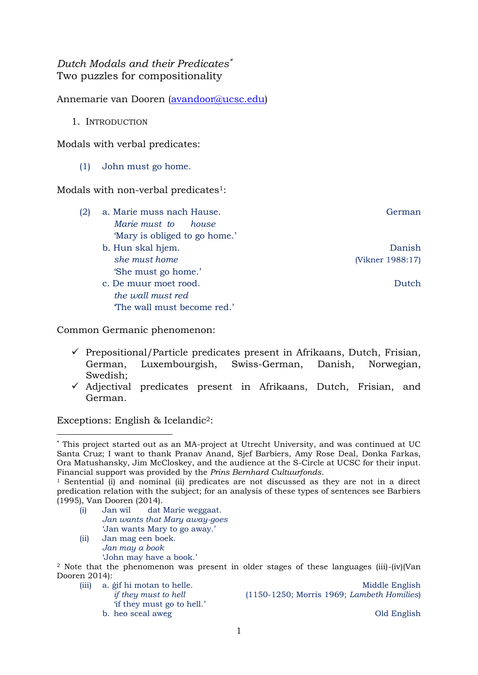# *Dutch Modals and their Predicates* Two puzzles for compositionality

Annemarie van Dooren [\(avandoor@ucsc.edu\)](mailto:avandoor@ucsc.edu)

1. INTRODUCTION

Modals with verbal predicates:

## (1) John must go home.

Modals with non-verbal predicates<sup>1</sup>:

- (2) a. Marie muss nach Hause. German German *Marie must to house* 'Mary is obliged to go home.' b. Hun skal hjem. Danish
	- *she must home* (Vikner 1988:17) 'She must go home.'
	- c. De muur moet rood. Dutch *the wall must red* 'The wall must become red.'

Common Germanic phenomenon:

- $\checkmark$  Prepositional/Particle predicates present in Afrikaans, Dutch, Frisian, German, Luxembourgish, Swiss-German, Danish, Norwegian, Swedish;
- $\checkmark$  Adjectival predicates present in Afrikaans, Dutch, Frisian, and German.

Exceptions: English & Icelandic2:

**.** 

- (i) Jan wil dat Marie weggaat. *Jan wants that Mary away-goes* 'Jan wants Mary to go away.'
- (ii) Jan mag een boek. *Jan may a book* 'John may have a book.'

<sup>2</sup> Note that the phenomenon was present in older stages of these languages (iii)-(iv)(Van Dooren 2014):

'if they must go to hell.' b. heo sceal aweg Old English

(iii) a. *i* if hi motan to helle. The motal control of the Middle English *if they must to hell* (1150-1250; Morris 1969; *Lambeth Homilies*)

This project started out as an MA-project at Utrecht University, and was continued at UC Santa Cruz; I want to thank Pranav Anand, Sjef Barbiers, Amy Rose Deal, Donka Farkas, Ora Matushansky, Jim McCloskey, and the audience at the S-Circle at UCSC for their input. Financial support was provided by the *Prins Bernhard Cultuurfonds*.

<sup>1</sup> Sentential (i) and nominal (ii) predicates are not discussed as they are not in a direct predication relation with the subject; for an analysis of these types of sentences see Barbiers (1995), Van Dooren (2014).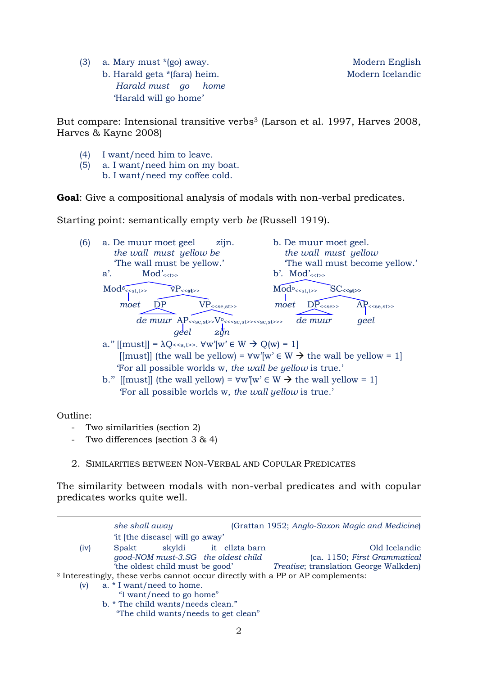(3) a. Mary must \*(go) away. Modern English b. Harald geta \*(fara) heim. Modern Icelandic  *Harald must go home*  'Harald will go home'

But compare: Intensional transitive verbs<sup>3</sup> (Larson et al. 1997, Harves 2008, Harves & Kayne 2008)

- (4) I want/need him to leave.
- (5) a. I want/need him on my boat. b. I want/need my coffee cold.

**Goal:** Give a compositional analysis of modals with non-verbal predicates.

Starting point: semantically empty verb *be* (Russell 1919).

 $(6)$  a. De muur moet geel zijn. b. De muur moet geel. *the wall must yellow be the wall must yellow* 'The wall must be yellow.' 'The wall must become yellow.' a'.  $Mod'_{\leq t\geq s}$  b'.  $Mod'_{\leq t\geq s}$ Mod<sup>o</sup>  $Mod<sub><<</sub>st,t>>$  $\overline{v}P$ <<st>>  $\mathbf{I}$ moet DP  $VP_{\leq \text{se}, \text{st}}$  *moet* DP<sub> $\leq \text{se}, \text{st}}$  AP $\leq \text{se}, \text{st}$ </sub> de muur AP<sub><<se,st>>></sub>V<sub>°</sub><<se,st>><se,st>>> *de muur geel geel zijn* a."  $[{\rm must}] = \lambda Q \ll s, t \gg \forall w' \forall w' \in W \rightarrow Q(w) = 1$ [[must]] (the wall be yellow) =  $\forall w'$ [w'  $\in W \rightarrow$  the wall be yellow = 1] 'For all possible worlds w, *the wall be yellow* is true.' b." [[must]] (the wall yellow) =  $\forall w' \mid w' \in W \rightarrow$  the wall yellow = 1] 'For all possible worlds w, *the wall yellow* is true.'

Outline:

- Two similarities (section 2)
- Two differences (section 3 & 4)
- 2. SIMILARITIES BETWEEN NON-VERBAL AND COPULAR PREDICATES

The similarity between modals with non-verbal predicates and with copular predicates works quite well.

|      | she shall away                                                                             |                | (Grattan 1952; Anglo-Saxon Magic and Medicine) |
|------|--------------------------------------------------------------------------------------------|----------------|------------------------------------------------|
|      | 'it [the disease] will go away'                                                            |                |                                                |
| (iv) | skyldi<br>Spakt                                                                            | it ellzta barn | Old Icelandic                                  |
|      | good-NOM must-3.SG the oldest child                                                        |                | (ca. 1150; First Grammatical                   |
|      | the oldest child must be good'                                                             |                | Treatise; translation George Walkden)          |
|      | <sup>3</sup> Interestingly, these verbs cannot occur directly with a PP or AP complements: |                |                                                |
| (v)  | a. * I want/need to home.                                                                  |                |                                                |
|      | "I want/need to go home"                                                                   |                |                                                |
|      | b. * The child wants/needs clean."                                                         |                |                                                |
|      | "The child wants/needs to get clean"                                                       |                |                                                |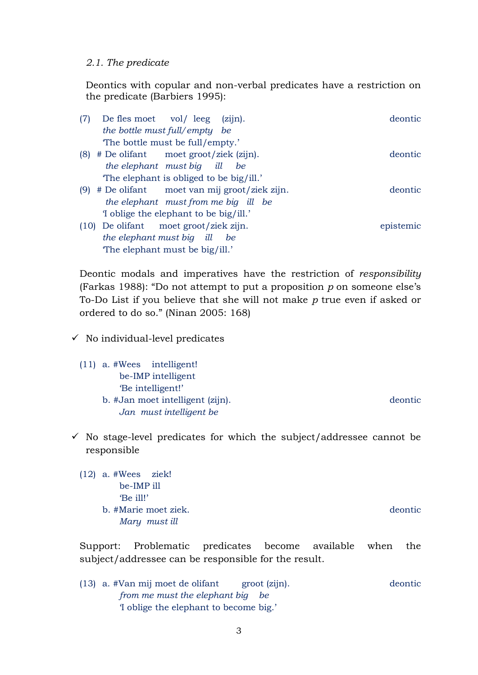### *2.1. The predicate*

Deontics with copular and non-verbal predicates have a restriction on the predicate (Barbiers 1995):

| (7)  | $(zijn)$ .<br>De fles moet vol/leeg        | deontic   |
|------|--------------------------------------------|-----------|
|      | the bottle must full/empty be              |           |
|      | The bottle must be full/empty.'            |           |
| (8)  | # De olifant moet groot/ziek (zijn).       | deontic   |
|      | the elephant must big<br>ill<br>be         |           |
|      | The elephant is obliged to be big/ill.'    |           |
| (9)  | # De olifant moet van mij groot/ziek zijn. | deontic   |
|      | the elephant must from me big ill be       |           |
|      | I oblige the elephant to be big/ill.       |           |
| (10) | De olifant moet groot/ziek zijn.           | epistemic |
|      | the elephant must big ill<br>be            |           |
|      | The elephant must be big/ill.'             |           |

Deontic modals and imperatives have the restriction of *responsibility* (Farkas 1988): "Do not attempt to put a proposition *p* on someone else's To-Do List if you believe that she will not make *p* true even if asked or ordered to do so." (Ninan 2005: 168)

- $\checkmark$  No individual-level predicates
	- (11) a. #Wees intelligent! be-IMP intelligent 'Be intelligent!' b. #Jan moet intelligent (zijn). deontic  *Jan must intelligent be*
- $\checkmark$  No stage-level predicates for which the subject/addressee cannot be responsible
	- (12) a. #Wees ziek! be-IMP ill 'Be ill!' b. #Marie moet ziek. deontic  *Mary must ill*

Support: Problematic predicates become available when the subject/addressee can be responsible for the result.

(13) a. #Van mij moet de olifant groot (zijn). deontic  *from me must the elephant big be*  'I oblige the elephant to become big.'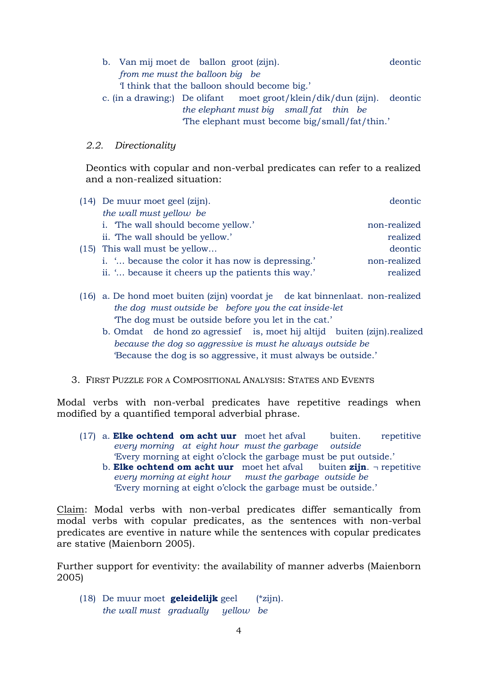- b. Van mij moet de ballon groot (zijn). deontic deontic *from me must the balloon big be* 'I think that the balloon should become big.' c. (in a drawing:) De olifant moet groot/klein/dik/dun (zijn). deontic *the elephant must big small fat thin be*
	- 'The elephant must become big/small/fat/thin.'

### *2.2. Directionality*

Deontics with copular and non-verbal predicates can refer to a realized and a non-realized situation:

| $(14)$ De muur moet geel $(zijn)$ .                | deontic      |
|----------------------------------------------------|--------------|
| the wall must yellow be                            |              |
| i. The wall should become yellow.'                 | non-realized |
| ii. The wall should be yellow.'                    | realized     |
| $(15)$ This wall must be yellow                    | deontic      |
| i.  because the color it has now is depressing.'   | non-realized |
| ii. ' because it cheers up the patients this way.' | realized     |

- (16) a. De hond moet buiten (zijn) voordat je de kat binnenlaat. non-realized *the dog must outside be before you the cat inside-let* 'The dog must be outside before you let in the cat.'
	- b. Omdat de hond zo agressief is, moet hij altijd buiten (zijn).realized *because the dog so aggressive is must he always outside be* 'Because the dog is so aggressive, it must always be outside.'
- 3. FIRST PUZZLE FOR A COMPOSITIONAL ANALYSIS: STATES AND EVENTS

Modal verbs with non-verbal predicates have repetitive readings when modified by a quantified temporal adverbial phrase.

- (17) a. **Elke ochtend om acht uur** moet het afval buiten. repetitive *every morning at eight hour must the garbage outside* 'Every morning at eight o'clock the garbage must be put outside.'
	- b. **Elke ochtend om acht uur** moet het afval buiten **zijn**. ¬ repetitive *every morning at eight hour must the garbage outside be* 'Every morning at eight o'clock the garbage must be outside.'

Claim: Modal verbs with non-verbal predicates differ semantically from modal verbs with copular predicates, as the sentences with non-verbal predicates are eventive in nature while the sentences with copular predicates are stative (Maienborn 2005).

Further support for eventivity: the availability of manner adverbs (Maienborn 2005)

(18) De muur moet **geleidelijk** geel (\*zijn). *the wall must gradually yellow be*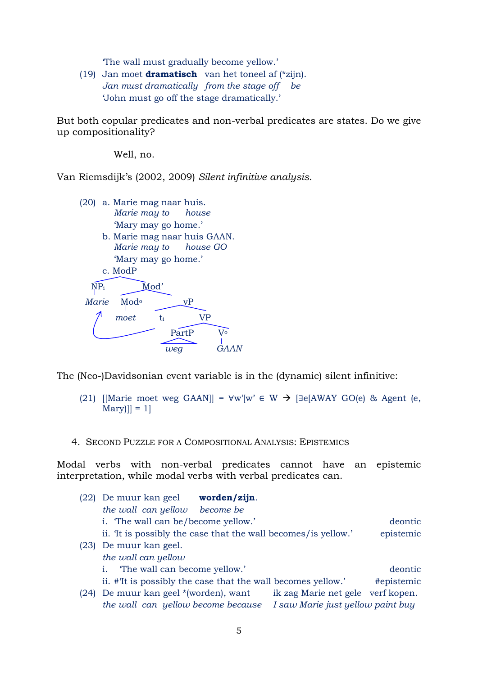'The wall must gradually become yellow.'

(19) Jan moet **dramatisch** van het toneel af (\*zijn). *Jan must dramatically from the stage off be* 'John must go off the stage dramatically.'

But both copular predicates and non-verbal predicates are states. Do we give up compositionality?

Well, no.

Van Riemsdijk's (2002, 2009) *Silent infinitive analysis*.



The (Neo-)Davidsonian event variable is in the (dynamic) silent infinitive:

- (21) [[Marie moet weg GAAN]] =  $\forall w'[w' \in W \rightarrow \exists e[AWAY \ GO(e) \& \text{Agent}(e,$  $Marv$ ]] = 1]
- 4. SECOND PUZZLE FOR A COMPOSITIONAL ANALYSIS: EPISTEMICS

Modal verbs with non-verbal predicates cannot have an epistemic interpretation, while modal verbs with verbal predicates can.

|      | (22) De muur kan geel                                          | worden/zijn. |                                   |            |
|------|----------------------------------------------------------------|--------------|-----------------------------------|------------|
|      | the wall can yellow                                            | become be    |                                   |            |
|      | i. The wall can be/become yellow.'                             |              |                                   | deontic    |
|      | ii. It is possibly the case that the wall becomes/ is yellow.' |              |                                   | epistemic  |
| (23) | De muur kan geel.                                              |              |                                   |            |
|      | the wall can yellow                                            |              |                                   |            |
|      | "The wall can become yellow."<br>1.                            |              |                                   | deontic    |
|      | ii. #It is possibly the case that the wall becomes yellow.'    |              |                                   | #epistemic |
| (24) | De muur kan geel *(worden), want                               |              | ik zag Marie net gele verf kopen. |            |
|      | the wall can yellow become because                             |              | I saw Marie just yellow paint buy |            |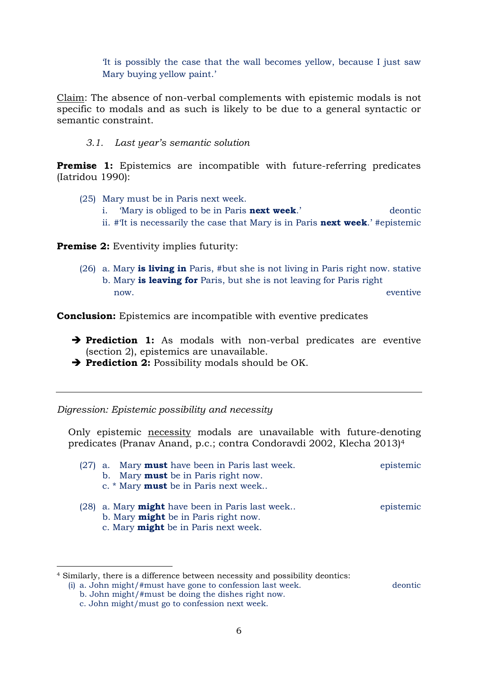'It is possibly the case that the wall becomes yellow, because I just saw Mary buying yellow paint.'

Claim: The absence of non-verbal complements with epistemic modals is not specific to modals and as such is likely to be due to a general syntactic or semantic constraint.

### *3.1. Last year's semantic solution*

**Premise 1:** Epistemics are incompatible with future-referring predicates (Iatridou 1990):

- (25) Mary must be in Paris next week.
	- i. 'Mary is obliged to be in Paris **next week**.' deontic
	- ii. #'It is necessarily the case that Mary is in Paris **next week**.' #epistemic

**Premise 2:** Eventivity implies futurity:

(26) a. Mary **is living in** Paris, #but she is not living in Paris right now. stative b. Mary **is leaving for** Paris, but she is not leaving for Paris right now. eventive

**Conclusion:** Epistemics are incompatible with eventive predicates

- **Prediction 1:** As modals with non-verbal predicates are eventive (section 2), epistemics are unavailable.
- **Prediction 2:** Possibility modals should be OK.

*Digression: Epistemic possibility and necessity*

Only epistemic necessity modals are unavailable with future-denoting predicates (Pranav Anand, p.c.; contra Condoravdi 2002, Klecha 2013)<sup>4</sup>

| $(27)$ a. Mary <b>must</b> have been in Paris last week. | epistemic |
|----------------------------------------------------------|-----------|
| b. Mary <b>must</b> be in Paris right now.               |           |
| c. * Mary <b>must</b> be in Paris next week              |           |
| $(28)$ a. Mary <b>might</b> have been in Paris last week | epistemic |
| b. Mary <b>might</b> be in Paris right now.              |           |

c. Mary **might** be in Paris next week.

<sup>4</sup> Similarly, there is a difference between necessity and possibility deontics: (i) a. John might/#must have gone to confession last week. deontic

b. John might/#must be doing the dishes right now.

**.** 

c. John might/must go to confession next week.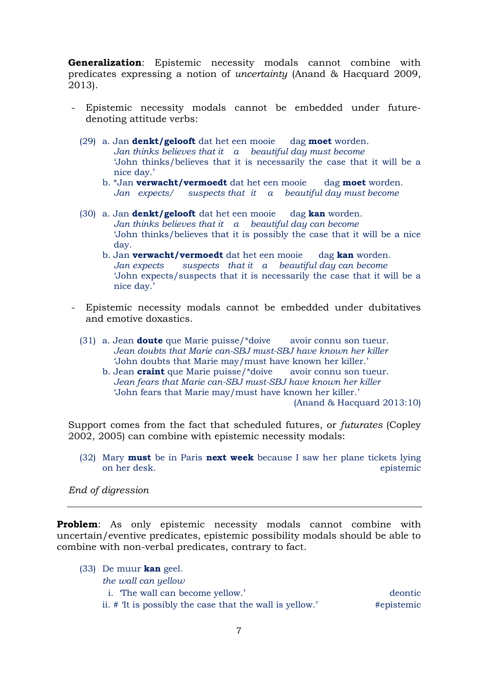**Generalization**: Epistemic necessity modals cannot combine with predicates expressing a notion of *uncertainty* (Anand & Hacquard 2009, 2013).

- Epistemic necessity modals cannot be embedded under futuredenoting attitude verbs:
	- (29) a. Jan **denkt/gelooft** dat het een mooie dag **moet** worden. *Jan thinks believes that it a beautiful day must become* 'John thinks/believes that it is necessarily the case that it will be a nice day.'
		- b. \*Jan **verwacht/vermoedt** dat het een mooie dag **moet** worden. *Jan expects/ suspects that it a beautiful day must become*
	- (30) a. Jan **denkt/gelooft** dat het een mooie dag **kan** worden. *Jan thinks believes that it a beautiful day can become* 'John thinks/believes that it is possibly the case that it will be a nice day.
		- b. Jan **verwacht/vermoedt** dat het een mooie dag **kan** worden. *Jan expects suspects that it a beautiful day can become* 'John expects/suspects that it is necessarily the case that it will be a nice day.'
- Epistemic necessity modals cannot be embedded under dubitatives and emotive doxastics.
	- (31) a. Jean **doute** que Marie puisse/\*doive avoir connu son tueur. *Jean doubts that Marie can-SBJ must-SBJ have known her killer* 'John doubts that Marie may/must have known her killer.'
		- b. Jean **craint** que Marie puisse/\*doive avoir connu son tueur. *Jean fears that Marie can-SBJ must-SBJ have known her killer* 'John fears that Marie may/must have known her killer.' (Anand & Hacquard 2013:10)

Support comes from the fact that scheduled futures, or *futurates* (Copley 2002, 2005) can combine with epistemic necessity modals:

(32) Mary **must** be in Paris **next week** because I saw her plane tickets lying on her desk. epistemic

*End of digression*

**Problem**: As only epistemic necessity modals cannot combine with uncertain/eventive predicates, epistemic possibility modals should be able to combine with non-verbal predicates, contrary to fact.

- (33) De muur **kan** geel.
	- *the wall can yellow*
	- i. 'The wall can become yellow.' deontic

ii.  $\#$  <sup>T</sup>It is possibly the case that the wall is yellow.'  $\#$  epistemic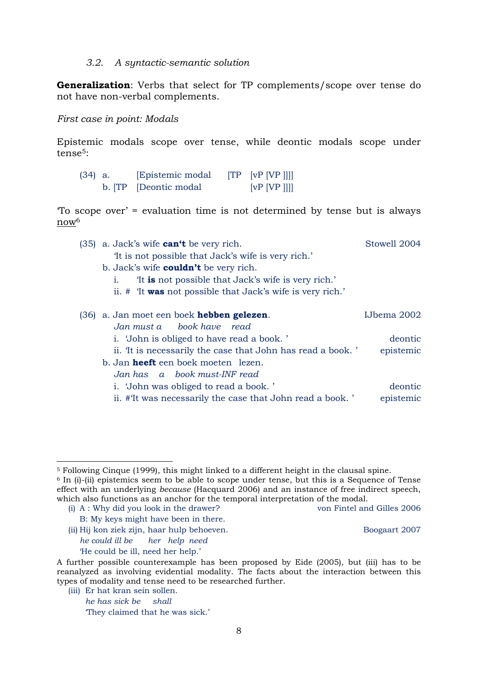#### *3.2. A syntactic-semantic solution*

**Generalization**: Verbs that select for TP complements/scope over tense do not have non-verbal complements.

*First case in point: Modals*

Epistemic modals scope over tense, while deontic modals scope under tense5:

| $(34)$ a. | Epistemic modal       | $\begin{bmatrix} TP & [vP & [VP & ]]] \end{bmatrix}$ |
|-----------|-----------------------|------------------------------------------------------|
|           | b. TP [Deontic modal] | [VP   VP ]]]                                         |

'To scope over' = evaluation time is not determined by tense but is always now<sup>6</sup>

- (35) a. Jack's wife **can't** be very rich. Stowell 2004 'It is not possible that Jack's wife is very rich.'
	- b. Jack's wife **couldn't** be very rich.
		- i. 'It **is** not possible that Jack's wife is very rich.'
		- ii. # 'It **was** not possible that Jack's wife is very rich.'

| (36) a. Jan moet een boek hebben gelezen.                  | IJbema 2002 |
|------------------------------------------------------------|-------------|
| Jan must a book have read                                  |             |
| i. 'John is obliged to have read a book.'                  | deontic     |
| ii. It is necessarily the case that John has read a book.' | epistemic   |
| b. Jan <b>heeft</b> een boek moeten lezen.                 |             |
| Jan has a book must-INF read                               |             |
| i. 'John was obliged to read a book.'                      | deontic     |
| ii. #It was necessarily the case that John read a book.'   | epistemic   |

(i) A : Why did you look in the drawer? von Fintel and Gilles 2006 B: My keys might have been in there.

1

(ii) Hij kon ziek zijn, haar hulp behoeven. Boogaart 2007 *he could ill be her help need* 'He could be ill, need her help.'

(iii) Er hat kran sein sollen. *he has sick be shall*

<sup>5</sup> Following Cinque (1999), this might linked to a different height in the clausal spine.

 $6$  In (i)-(ii) epistemics seem to be able to scope under tense, but this is a Sequence of Tense effect with an underlying *because* (Hacquard 2006) and an instance of free indirect speech, which also functions as an anchor for the temporal interpretation of the modal.

A further possible counterexample has been proposed by Eide (2005), but (iii) has to be reanalyzed as involving evidential modality. The facts about the interaction between this types of modality and tense need to be researched further.

<sup>&#</sup>x27;They claimed that he was sick.'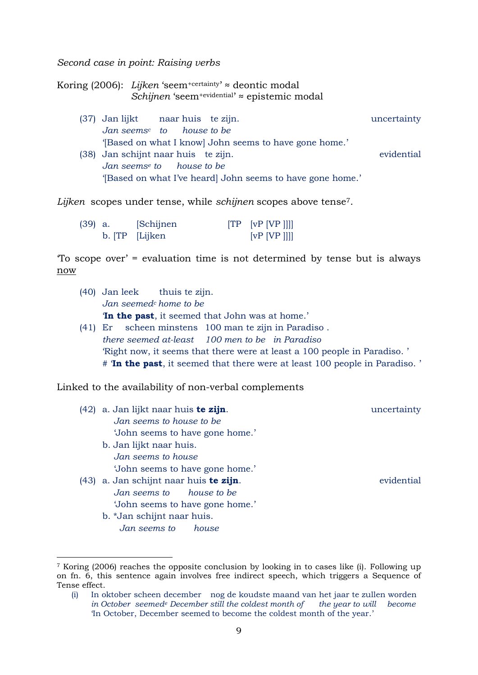*Second case in point: Raising verbs*

Koring (2006): *Lijken* 'seem+certainty' ≈ deontic modal Schijnen 'seem<sup>+evidential'</sup> ≈ epistemic modal

(37) Jan lijkt naar huis te zijn. uncertainty *Jan seems<sup>c</sup> to house to be* '[Based on what I know] John seems to have gone home.' (38) Jan schijnt naar huis te zijn. evidential *Jan seems<sup>e</sup> to house to be* '[Based on what I've heard] John seems to have gone home.'

*Lijken* scopes under tense, while *schijnen* scopes above tense7.

| $(39)$ a. | [Schijnen]     | $[TP$ $[vP]$ $[VP]$ |
|-----------|----------------|---------------------|
|           | b. TP [Lijken] | [VP [VP ]]]         |

'To scope over' = evaluation time is not determined by tense but is always now

- (40) Jan leek thuis te zijn. *Jan seemed<sup>c</sup> home to be* '**In the past**, it seemed that John was at home.' (41) Er scheen minstens 100 man te zijn in Paradiso . *there seemed at-least 100 men to be in Paradiso*
- 'Right now, it seems that there were at least a 100 people in Paradiso. ' # '**In the past**, it seemed that there were at least 100 people in Paradiso. '

Linked to the availability of non-verbal complements

(42) a. Jan lijkt naar huis **te zijn**. uncertainty *Jan seems to house to be* 'John seems to have gone home.' b. Jan lijkt naar huis. *Jan seems to house* 'John seems to have gone home.' (43) a. Jan schijnt naar huis **te zijn**. evidential *Jan seems to house to be*

- 'John seems to have gone home.'
	- b. \*Jan schijnt naar huis. *Jan seems to house*

**.** 

<sup>7</sup> Koring (2006) reaches the opposite conclusion by looking in to cases like (i). Following up on fn. 6, this sentence again involves free indirect speech, which triggers a Sequence of Tense effect.

<sup>(</sup>i) In oktober scheen december nog de koudste maand van het jaar te zullen worden *in October seemed<sup>e</sup> December still the coldest month of the year to will become* 'In October, December seemed to become the coldest month of the year.'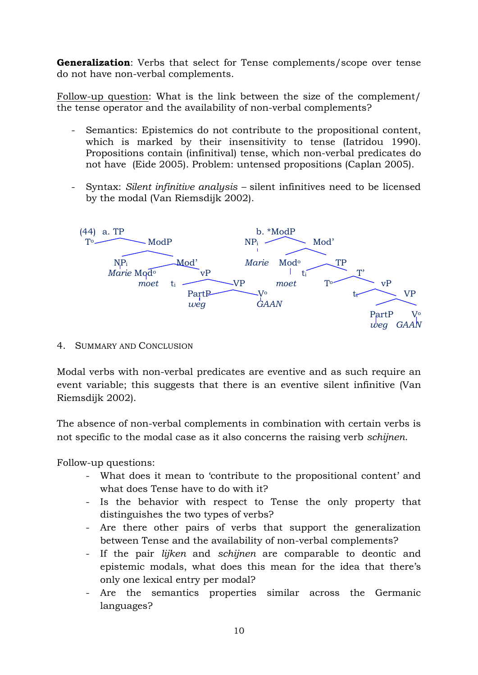**Generalization**: Verbs that select for Tense complements/scope over tense do not have non-verbal complements.

Follow-up question: What is the link between the size of the complement/ the tense operator and the availability of non-verbal complements?

- Semantics: Epistemics do not contribute to the propositional content, which is marked by their insensitivity to tense (Iatridou 1990). Propositions contain (infinitival) tense, which non-verbal predicates do not have (Eide 2005). Problem: untensed propositions (Caplan 2005).
- Syntax: *Silent infinitive analysis –* silent infinitives need to be licensed by the modal (Van Riemsdijk 2002).



4. SUMMARY AND CONCLUSION

Modal verbs with non-verbal predicates are eventive and as such require an event variable; this suggests that there is an eventive silent infinitive (Van Riemsdijk 2002).

The absence of non-verbal complements in combination with certain verbs is not specific to the modal case as it also concerns the raising verb *schijnen*.

Follow-up questions:

- What does it mean to 'contribute to the propositional content' and what does Tense have to do with it?
- Is the behavior with respect to Tense the only property that distinguishes the two types of verbs?
- Are there other pairs of verbs that support the generalization between Tense and the availability of non-verbal complements?
- If the pair *lijken* and *schijnen* are comparable to deontic and epistemic modals, what does this mean for the idea that there's only one lexical entry per modal?
- Are the semantics properties similar across the Germanic languages?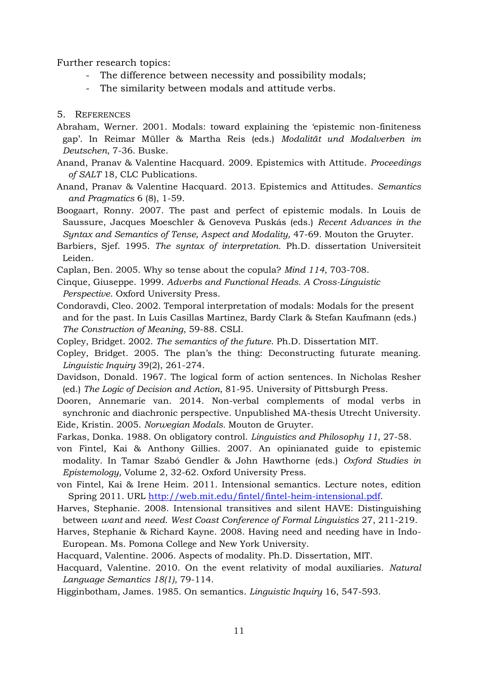Further research topics:

- The difference between necessity and possibility modals;
- The similarity between modals and attitude verbs.

#### 5. REFERENCES

- Abraham, Werner. 2001. Modals: toward explaining the 'epistemic non-finiteness gap'. In Reimar Müller & Martha Reis (eds.) *Modalität und Modalverben im Deutschen*, 7-36. Buske.
- Anand, Pranav & Valentine Hacquard. 2009. Epistemics with Attitude. *Proceedings of SALT* 18, CLC Publications.
- Anand, Pranav & Valentine Hacquard. 2013. Epistemics and Attitudes. *Semantics and Pragmatics* 6 (8), 1-59.
- Boogaart, Ronny. 2007. The past and perfect of epistemic modals. In Louis de Saussure, Jacques Moeschler & Genoveva Puskás (eds.) *Recent Advances in the Syntax and Semantics of Tense, Aspect and Modality,* 47-69. Mouton the Gruyter.
- Barbiers, Sjef. 1995. *The syntax of interpretation.* Ph.D. dissertation Universiteit Leiden.
- Caplan, Ben. 2005. Why so tense about the copula? *Mind 114*, 703-708.
- Cinque, Giuseppe. 1999. *Adverbs and Functional Heads. A Cross-Linguistic Perspective*. Oxford University Press.
- Condoravdi, Cleo. 2002. Temporal interpretation of modals: Modals for the present and for the past. In Luis Casillas Martínez, Bardy Clark & Stefan Kaufmann (eds.) *The Construction of Meaning*, 59-88. CSLI.
- Copley, Bridget. 2002. *The semantics of the future*. Ph.D. Dissertation MIT.
- Copley, Bridget. 2005. The plan's the thing: Deconstructing futurate meaning. *Linguistic Inquiry* 39(2), 261-274.
- Davidson, Donald. 1967. The logical form of action sentences. In Nicholas Resher (ed.) *The Logic of Decision and Action*, 81-95. University of Pittsburgh Press.
- Dooren, Annemarie van. 2014. Non-verbal complements of modal verbs in synchronic and diachronic perspective. Unpublished MA-thesis Utrecht University. Eide, Kristin. 2005. *Norwegian Modals.* Mouton de Gruyter.
- Farkas, Donka. 1988. On obligatory control. *Linguistics and Philosophy 11*, 27-58.
- von Fintel, Kai & Anthony Gillies. 2007. An opinianated guide to epistemic modality. In Tamar Szabó Gendler & John Hawthorne (eds.) *Oxford Studies in Epistemology,* Volume 2, 32-62. Oxford University Press.
- von Fintel, Kai & Irene Heim. 2011. Intensional semantics. Lecture notes, edition Spring 2011. URL [http://web.mit.edu/fintel/fintel-heim-intensional.pdf.](http://web.mit.edu/fintel/fintel-heim-intensional.pdf)
- Harves, Stephanie. 2008. Intensional transitives and silent HAVE: Distinguishing between *want* and *need*. *West Coast Conference of Formal Linguistics* 27, 211-219.
- Harves, Stephanie & Richard Kayne. 2008. Having need and needing have in Indo-European. Ms. Pomona College and New York University.
- Hacquard, Valentine. 2006. Aspects of modality. Ph.D. Dissertation, MIT.
- Hacquard, Valentine. 2010. On the event relativity of modal auxiliaries. *Natural Language Semantics 18(1)*, 79-114.
- Higginbotham, James. 1985. On semantics. *Linguistic Inquiry* 16, 547-593.